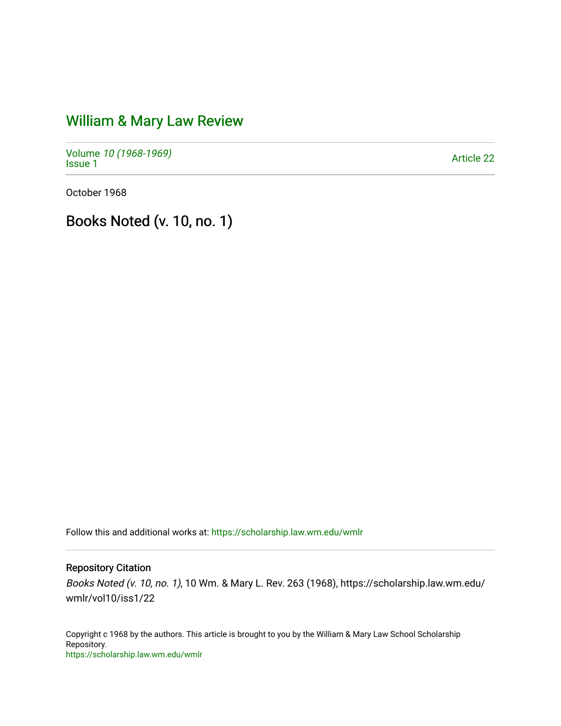## [William & Mary Law Review](https://scholarship.law.wm.edu/wmlr)

Volume [10 \(1968-1969\)](https://scholarship.law.wm.edu/wmlr/vol10)  Notative *To* (*1906-1909)*<br>[Issue 1](https://scholarship.law.wm.edu/wmlr/vol10/iss1) Article 22

October 1968

Books Noted (v. 10, no. 1)

Follow this and additional works at: [https://scholarship.law.wm.edu/wmlr](https://scholarship.law.wm.edu/wmlr?utm_source=scholarship.law.wm.edu%2Fwmlr%2Fvol10%2Fiss1%2F22&utm_medium=PDF&utm_campaign=PDFCoverPages)

## Repository Citation

Books Noted (v. 10, no. 1), 10 Wm. & Mary L. Rev. 263 (1968), https://scholarship.law.wm.edu/ wmlr/vol10/iss1/22

Copyright c 1968 by the authors. This article is brought to you by the William & Mary Law School Scholarship Repository. <https://scholarship.law.wm.edu/wmlr>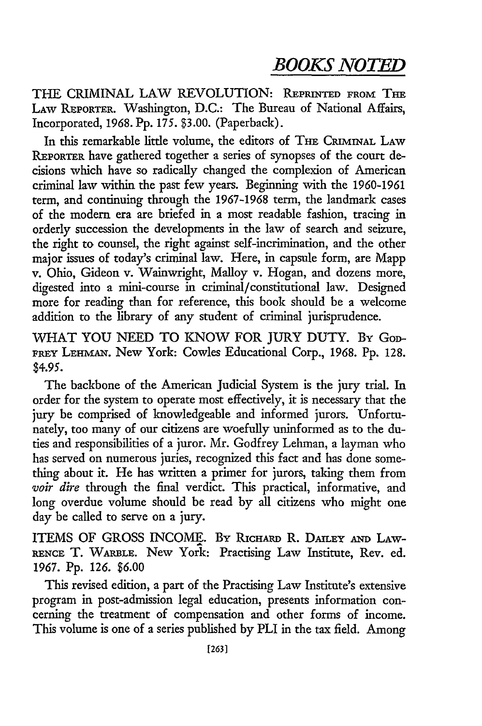THE CRIMINAL LAW REVOLUTION: REPRINTED FROM THE LAW REPORTER. Washington, D.C.: The Bureau of National Affairs, Incorporated, **1968. Pp.** 175. \$3.00. (Paperback).

In this remarkable little volume, the editors of THE CRIMINAL LAW REPORTER have gathered together a series of synopses of the court decisions which have so radically changed the complexion of American criminal law within the past few years. Beginning with the 1960-1961 term, and continuing through the 1967-1968 term, the landmark cases of the modem era are briefed in a most readable fashion, tracing in orderly succession the developments in the law of search and seizure, the right to counsel, the right against self-incrimination, and the other major issues of today's criminal law. Here, in capsule form, are Mapp v. Ohio, Gideon v. Wainwright, Malloy v. Hogan, and dozens more, digested into a mini-course in criminal/constitutional law. Designed more for reading than for reference, this book should be a welcome addition to the library of any student of criminal jurisprudence.

WHAT YOU NEED TO KNOW FOR JURY DUTY. By God-**FREY LEHMAN.** New York: Cowles Educational Corp., 1968. Pp. 128. \$4.95.

The backbone of the American Judicial System is the jury trial. In order for the system to operate most effectively, it is necessary that the jury be comprised of knowledgeable and informed jurors. Unfortunately, too many of our citizens are woefully uninformed as to the duties and responsibilities of a juror. Mr. Godfrey Lehman, a layman who has served on numerous juries, recognized this fact and has done something about it. He has written a primer for jurors, taking them from *voir dire* through the final verdict. This practical, informative, and long overdue volume should be read **by** all citizens who might one day be called to serve on a jury.

ITEMS OF GROSS INCOME. By RIcHARD R. DAILEY *AND* LAW-**RENcE** T. **WARBLE.** New York: Practising Law Institute, Rev. ed. 1967. Pp. 126. \$6.00

This revised edition, a part of the Practising Law Institute's extensive program in post-admission legal education, presents information concerning the treatment of compensation and other forms of income. This volume is one of a series published by PLI in the tax field. Among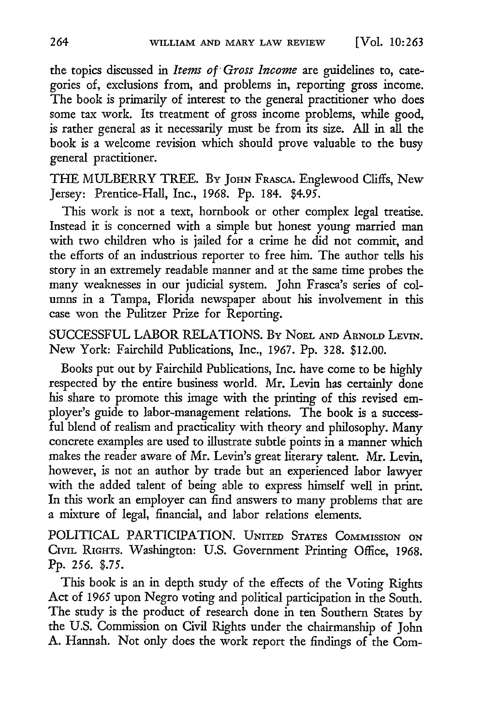the topics discussed in *Items of Gross Income* are guidelines to, categories of, exclusions from, and problems in, reporting gross income. The book is primarily of interest to the general practitioner who does some tax work. Its treatment of gross income problems, while good, is rather general as it necessarily must be from its size. All in all the book is a welcome revision which should prove valuable to the busy general practitioner.

THE MULBERRY TREE. BY JOHN FRAscA. Englewood Cliffs, New Jersey: Prentice-Hall, Inc., 1968. Pp. 184. \$4.95.

This work is not a text, hornbook or other complex legal treatise. Instead it is concerned with a simple but honest young married man with two children who is jailed for a crime he did not commit, and the efforts of an industrious reporter to free him. The author tells his story in an extremely readable manner and at the same time probes the many weaknesses in our judicial system. John Frasca's series of columns in a Tampa, Florida newspaper about his involvement in this case won the Pulitzer Prize for Reporting.

SUCCESSFUL LABOR RELATIONS. By NOEL **AND** ARNOLD LEVIN. New York: Fairchild Publications, Inc., 1967. Pp. 328. \$12.00.

Books put out by Fairchild Publications, Inc. have come to be highly respected by the entire business world. Mr. Levin has certainly done his share to promote this image with the printing of this revised employer's guide to labor-management relations. The book is a successful blend of realism and practicality with theory and philosophy. Many concrete examples are used to illustrate subtle points in a manner which makes the reader aware of Mr. Levin's great literary talent. Mr. Levin, however, is not an author by trade but an experienced labor lawyer with the added talent of being able to express himself well in print. In this work an employer can find answers to many problems that are a mixture of legal, financial, and labor relations elements.

POLITICAL PARTICIPATION. **UNITED STATES COMMISSION ON CIVIL** RIGHTS. Washington: U.S. Government Printing Office, 1968. Pp. *256. \$.75.*

This book is an in depth study of the effects of the Voting Rights Act of 1965 upon Negro voting and political participation in the South. The study is the product of research done in ten Southern States by the U.S. Commission on Civil Rights under the chairmanship of John A. Hannah. Not only does the work report the findings of the Com